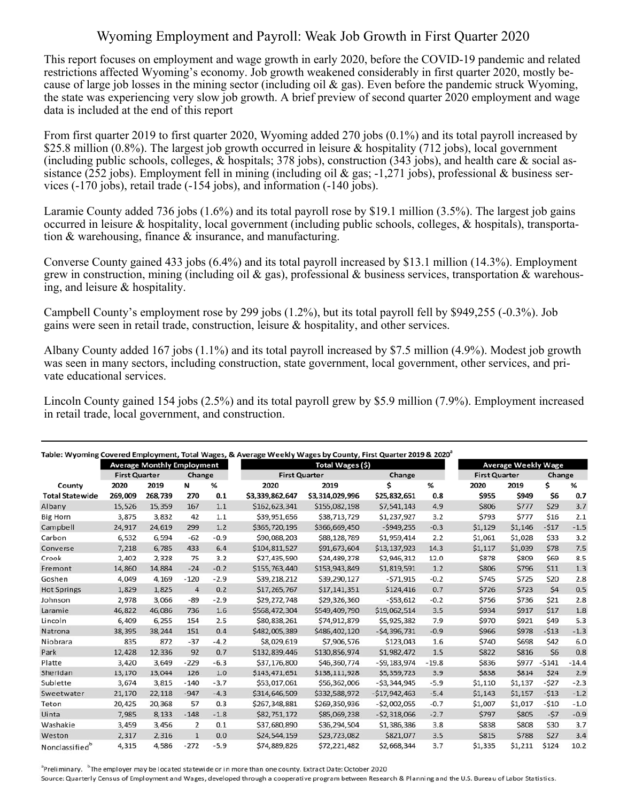## Wyoming Employment and Payroll: Weak Job Growth in First Quarter 2020

This report focuses on employment and wage growth in early 2020, before the COVID-19 pandemic and related restrictions affected Wyoming's economy. Job growth weakened considerably in first quarter 2020, mostly because of large job losses in the mining sector (including oil  $\&$  gas). Even before the pandemic struck Wyoming, the state was experiencing very slow job growth. A brief preview of second quarter 2020 employment and wage data is included at the end of this report

From first quarter 2019 to first quarter 2020, Wyoming added 270 jobs (0.1%) and its total payroll increased by \$25.8 million (0.8%). The largest job growth occurred in leisure & hospitality (712 jobs), local government (including public schools, colleges, & hospitals; 378 jobs), construction (343 jobs), and health care & social assistance (252 jobs). Employment fell in mining (including oil & gas; -1,271 jobs), professional & business services (-170 jobs), retail trade (-154 jobs), and information (-140 jobs).

Laramie County added 736 jobs (1.6%) and its total payroll rose by \$19.1 million (3.5%). The largest job gains occurred in leisure & hospitality, local government (including public schools, colleges, & hospitals), transportation & warehousing, finance & insurance, and manufacturing.

Converse County gained 433 jobs (6.4%) and its total payroll increased by \$13.1 million (14.3%). Employment grew in construction, mining (including oil & gas), professional & business services, transportation & warehousing, and leisure & hospitality.

Campbell County's employment rose by 299 jobs (1.2%), but its total payroll fell by \$949,255 (-0.3%). Job gains were seen in retail trade, construction, leisure & hospitality, and other services.

Albany County added 167 jobs (1.1%) and its total payroll increased by \$7.5 million (4.9%). Modest job growth was seen in many sectors, including construction, state government, local government, other services, and private educational services.

Lincoln County gained 154 jobs (2.5%) and its total payroll grew by \$5.9 million (7.9%). Employment increased in retail trade, local government, and construction.

| Table: Wyoming Covered Employment, Total Wages, & Average Weekly Wages by County, First Quarter 2019 & 2020 <sup>ª</sup> |                      |                                   |                |        |                      |                 |                 |         |                            |         |         |         |
|--------------------------------------------------------------------------------------------------------------------------|----------------------|-----------------------------------|----------------|--------|----------------------|-----------------|-----------------|---------|----------------------------|---------|---------|---------|
|                                                                                                                          |                      | <b>Average Monthly Employment</b> |                |        | Total Wages (\$)     |                 |                 |         | <b>Average Weekly Wage</b> |         |         |         |
|                                                                                                                          | <b>First Quarter</b> |                                   | Change         |        | <b>First Quarter</b> |                 | Change          |         | <b>First Quarter</b>       |         | Change  |         |
| County                                                                                                                   | 2020                 | 2019                              | N              | %      | 2020                 | 2019            | \$              | %       | 2020                       | 2019    | \$      | %       |
| <b>Total Statewide</b>                                                                                                   | 269.009              | 268,739                           | 270            | 0.1    | \$3,339,862,647      | \$3,314,029,996 | \$25,832,651    | 0.8     | \$955                      | \$949   | \$6     | 0.7     |
| Albany                                                                                                                   | 15.526               | 15,359                            | 167            | 1.1    | \$162,623,341        | \$155,082,198   | \$7,541,143     | 4.9     | \$806                      | \$777   | \$29    | 3.7     |
| <b>Big Horn</b>                                                                                                          | 3,875                | 3,832                             | 42             | 1.1    | \$39,951,656         | \$38,713,729    | \$1,237,927     | 3.2     | \$793                      | \$777   | \$16    | 2.1     |
| Campbell                                                                                                                 | 24,917               | 24,619                            | 299            | 1.2    | \$365,720,195        | \$366,669,450   | $-5949.255$     | $-0.3$  | \$1,129                    | \$1,146 | $-517$  | $-1.5$  |
| Carbon                                                                                                                   | 6,532                | 6,594                             | $-62$          | $-0.9$ | \$90,088,203         | \$88,128,789    | \$1,959,414     | 2.2     | \$1,061                    | \$1,028 | \$33    | 3.2     |
| Converse                                                                                                                 | 7,218                | 6,785                             | 433            | 6.4    | \$104,811,527        | \$91,673,604    | \$13,137,923    | 14.3    | \$1,117                    | \$1,039 | \$78    | 7.5     |
| Crook                                                                                                                    | 2,402                | 2,328                             | 75             | 3.2    | \$27,435,590         | \$24,489,278    | \$2,946,312     | 12.0    | \$878                      | \$809   | \$69    | 8.5     |
| Fremont                                                                                                                  | 14,860               | 14,884                            | $-24$          | $-0.2$ | \$155,763,440        | \$153,943,849   | \$1,819,591     | 1.2     | \$806                      | \$796   | \$11    | 1.3     |
| Goshen                                                                                                                   | 4,049                | 4,169                             | $-120$         | $-2.9$ | \$39,218,212         | \$39,290,127    | $-571,915$      | $-0.2$  | \$745                      | \$725   | \$20    | 2.8     |
| <b>Hot Springs</b>                                                                                                       | 1,829                | 1,825                             | $\overline{4}$ | 0.2    | \$17,265,767         | \$17,141,351    | \$124,416       | 0.7     | \$726                      | \$723   | \$4     | 0.5     |
| Johnson                                                                                                                  | 2,978                | 3,066                             | $-89$          | $-2.9$ | \$29,272,748         | \$29,326,360    | $-553,612$      | $-0.2$  | \$756                      | \$736   | \$21    | 2.8     |
| Laramie                                                                                                                  | 46,822               | 46,086                            | 736            | 1.6    | \$568,472,304        | \$549,409,790   | \$19,062,514    | 3.5     | \$934                      | \$917   | \$17    | 1.8     |
| Lincoln                                                                                                                  | 6,409                | 6,255                             | 154            | 2.5    | \$80,838,261         | \$74,912,879    | \$5,925,382     | 7.9     | \$970                      | \$921   | \$49    | 5.3     |
| Natrona                                                                                                                  | 38,395               | 38,244                            | 151            | 0.4    | \$482,005,389        | \$486,402,120   | $-54,396,731$   | $-0.9$  | \$966                      | \$978   | $-513$  | $-1.3$  |
| Niobrara                                                                                                                 | 835                  | 872                               | $-37$          | $-4.2$ | \$8,029,619          | \$7,906,576     | \$123,043       | 1.6     | \$740                      | \$698   | \$42    | 6.0     |
| Park                                                                                                                     | 12,428               | 12,336                            | 92             | 0.7    | \$132,839,446        | \$130,856,974   | \$1,982,472     | 1.5     | \$822                      | \$816   | \$6     | 0.8     |
| Platte                                                                                                                   | 3,420                | 3,649                             | $-229$         | $-6.3$ | \$37,176,800         | \$46,360,774    | $-59, 183, 974$ | $-19.8$ | \$836                      | \$977   | $-5141$ | $-14.4$ |
| Sheridan                                                                                                                 | 13,170               | 13,044                            | 126            | 1.0    | \$143,471,651        | \$138,111,928   | \$5,359,723     | 3.9     | \$838                      | \$814   | \$24    | 2.9     |
| Sublette                                                                                                                 | 3,674                | 3,815                             | $-140$         | $-3.7$ | \$53,017,061         | \$56,362,006    | $-53,344,945$   | $-5.9$  | \$1,110                    | \$1,137 | $-527$  | $-2.3$  |
| Sweetwater                                                                                                               | 21,170               | 22,118                            | $-947$         | $-4.3$ | \$314,646,509        | \$332,588,972   | $-517,942,463$  | $-5.4$  | \$1,143                    | \$1,157 | $-513$  | $-1.2$  |
| Teton                                                                                                                    | 20,425               | 20,368                            | 57             | 0.3    | \$267,348,881        | \$269,350,936   | $-52,002,055$   | $-0.7$  | \$1,007                    | \$1,017 | $-510$  | $-1.0$  |
| Uinta                                                                                                                    | 7.985                | 8,133                             | $-148$         | $-1.8$ | \$82,751,172         | \$85,069,238    | $-52,318,066$   | $-2.7$  | \$797                      | \$805   | $-57$   | $-0.9$  |
| Washakie                                                                                                                 | 3,459                | 3,456                             | 2              | 0.1    | \$37,680,890         | \$36,294,504    | \$1,386,386     | 3.8     | \$838                      | \$808   | \$30    | 3.7     |
| Weston                                                                                                                   | 2,317                | 2,316                             | $\mathbf{1}$   | 0.0    | \$24,544,159         | \$23,723,082    | \$821,077       | 3.5     | \$815                      | \$788   | \$27    | 3.4     |
| Nonclassified <sup>b</sup>                                                                                               | 4,315                | 4,586                             | $-272$         | $-5.9$ | \$74,889,826         | \$72,221,482    | \$2,668,344     | 3.7     | \$1,335                    | \$1,211 | \$124   | 10.2    |

<sup>a</sup>Preliminary. <sup>b</sup>The employer may be located statewide or in more than one county. Extract Date: October 2020

Source: Quarterly Census of Employment and Wages, developed through a cooperative program between Research & Planning and the U.S. Bureau of Labor Statistics.